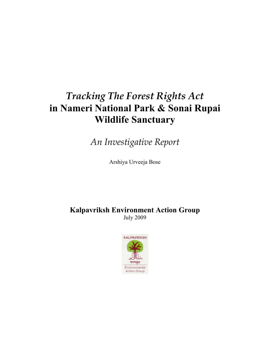# *Tracking The Forest Rights Act*  **in Nameri National Park & Sonai Rupai Wildlife Sanctuary**

*An Investigative Report* 

Arshiya Urveeja Bose

**Kalpavriksh Environment Action Group**  July 2009

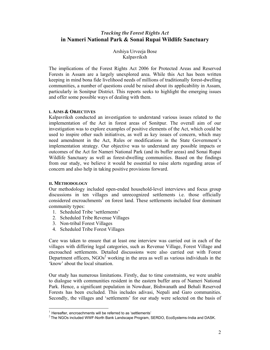# *Tracking the Forest Rights Act*  **in Nameri National Park & Sonai Rupai Wildlife Sanctuary**

Arshiya Urveeja Bose Kalpavriksh

The implications of the Forest Rights Act 2006 for Protected Areas and Reserved Forests in Assam are a largely unexplored area. While this Act has been written keeping in mind bona fide livelihood needs of millions of traditionally forest-dwelling communities, a number of questions could be raised about its applicability in Assam, particularly in Sonitpur District. This reports seeks to highlight the emerging issues and offer some possible ways of dealing with them.

#### **I. AIMS & OBJECTIVES**

Kalpavriksh conducted an investigation to understand various issues related to the implementation of the Act in forest areas of Sonitpur. The overall aim of our investigation was to explore examples of positive elements of the Act, which could be used to inspire other such initiatives, as well as key issues of concern, which may need amendment in the Act, Rules or modifications in the State Government's implementation strategy. Our objective was to understand any possible impacts or outcomes of the Act for Nameri National Park (and its buffer areas) and Sonai Rupai Wildlife Sanctuary as well as forest-dwelling communities. Based on the findings from our study, we believe it would be essential to raise alerts regarding areas of concern and also help in taking positive provisions forward.

#### **II. METHODOLOGY**

 $\overline{a}$ 

Our methodology included open-ended household-level interviews and focus group discussions in ten villages and unrecognized settlements i.e. those officially considered encroachments<sup>1</sup> on forest land. These settlements included four dominant community types:

- 1. Scheduled Tribe 'settlements'
- 2. Scheduled Tribe Revenue Villages
- 3. Non-tribal Forest Villages
- 4. Scheduled Tribe Forest Villages

Care was taken to ensure that at least one interview was carried out in each of the villages with differing legal categories, such as Revenue Village, Forest Village and encroached settlements. Detailed discussions were also carried out with Forest Department officers,  $NGOs<sup>2</sup>$  working in the area as well as various individuals in the 'know' about the local situation.

Our study has numerous limitations. Firstly, due to time constraints, we were unable to dialogue with communities resident in the eastern buffer area of Nameri National Park. Hence, a significant population in Nowduar, Bishwanath and Behali Reserved Forests has been excluded. This includes adivasi, Nepali and Garo communities. Secondly, the villages and 'settlements' for our study were selected on the basis of

 $1$  Hereafter, encroachments will be referred to as 'settlements'

 $2$  The NGOs included WWF-North Bank Landscape Program, SERDO, EcoSystems-India and DASK.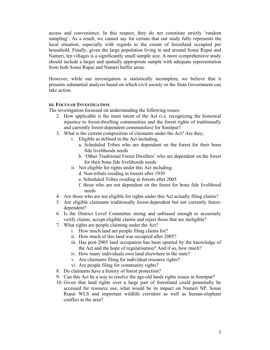access and convenience. In this respect, they do not constitute strictly 'random sampling'. As a result, we cannot say for certain that our study fully represents the local situation, especially with regards to the extent of forestland occupied per household. Finally, given the large population living in and around Sonai Rupai and Nameri, ten villages is a significantly small sample size. A more comprehensive study should include a larger and spatially appropriate sample with adequate representation from both Sonai Rupai and Nameri buffer areas.

However, while our investigation is statistically incomplete, we believe that it presents substantial analysis based on which civil society or the State Government can take action.

## **III. FOCUS OF INVESTIGATION**

The investigation focussed on understanding the following issues:

- 2. How applicable is the main intent of the Act (i.e. recognizing the historical injustice to forest-dwelling communities and the forest rights of traditionally and currently forest-dependent communities) for Sonitpur?
- 3. What is the current composition of claimants under the Act? Are they,
	- i. Eligible as defined in the Act including,
		- a. Scheduled Tribes who are dependent on the forest for their bona fide livelihoods needs
		- b. 'Other Traditional Forest Dwellers' who are dependent on the forest for their bona fide livelihoods needs
	- ii. Not eligible for rights under this Act including,
		- d. Non-tribals residing in forests after 1930
		- e. Scheduled Tribes residing in forests after 2005
		- f. those who are not dependent on the forest for bona fide livelihood needs
- 4. Are those who are not eligible for rights under this Act actually filing claims?
- 5. Are eligible claimants traditionally forest-dependent but not currently forestdependent?
- 6. Is the District Level Committee strong and unbiased enough to accurately verify claims, accept eligible claims and reject those that are ineligible?
- 7. What rights are people claiming under the Act?
	- i. How much land are people filing claims for?
	- ii. How much of this land was occupied after 2005?
	- iii. Has post-2005 land occupation has been spurred by the knowledge of the Act and the hope of regularisation? And if so, how much?
	- iv. How many individuals own land elsewhere in the state?
	- v. Are claimants filing for individual resource rights?
	- vi. Are people filing for community rights?
- 8. Do claimants have a history of forest protection?
- 9. Can this Act be a way to resolve the age-old lands rights issues in Sonitpur?
- 10. Given that land rights over a large part of forestland could potentially be accessed for resource use, what would be its impact on Nameri NP, Sonai Rupai WLS and important wildlife corridors as well as human-elephant conflict in the area?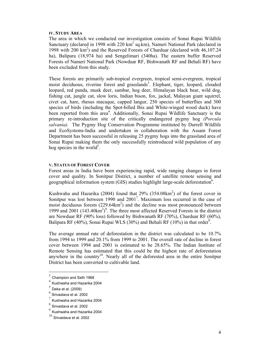#### **IV. STUDY AREA**

The area in which we conducted our investigation consists of Sonai Rupai Wildlife Sanctuary (declared in 1998 with 220  $km^2$  sq.km), Nameri National Park (declared in 1998 with 200 km<sup>2</sup>) and the Reserved Forests of Charduar (declared with 46,107.24 ha), Balipara (18,974 ha) and Sengelimari (340ha). The eastern buffer Reserved Forests of Nameri National Park (Nowduar RF, Bishwanath RF and Behali RF) have been excluded from this study.

These forests are primarily sub-tropical evergreen, tropical semi-evergreen, tropical moist deciduous, riverine forest and grasslands<sup>3</sup>. Elephant, tiger, leopard, clouded leopard, red panda, musk deer, sambar, hog deer, Himalayan black bear, wild dog, fishing cat, jungle cat, slow loris, Indian bison, fox, jackal, Malayan giant squirrel, civet cat, hare, rhesus macaque, capped langur, 250 species of butterflies and 300 species of birds (including the Spot-billed Ibis and White-winged wood duck) have been reported from this area<sup>4</sup>. Additionally, Sonai Rupai Wildlife Sanctuary is the primary re-introduction site of the critically endangered pygmy hog *(Porcula salvania).* The Pygmy Hog Conservation Programme instituted by Durrell Wildlife and EcoSystems-India and undertaken in collaboration with the Assam Forest Department has been successful in releasing 25 pygmy hogs into the grassland area of Sonai Rupai making them the only successfully reintroduced wild population of any hog species in the world<sup>5</sup>.

#### **V. STATUS OF FOREST COVER**

Forest areas in India have been experiencing rapid, wide ranging changes in forest cover and quality. In Sonitpur District, a number of satellite remote sensing and geographical information system (GIS) studies highlight large-scale deforestation<sup>6</sup>.

Kushwaha and Hazarika (2004) found that  $29\%$  (354.08km<sup>2</sup>) of the forest cover in Sonitpur was lost between 1990 and 2001<sup>7</sup>. Maximum loss occurred in the case of moist deciduous forests  $(229.64 \text{km}^2)$  and the decline was most pronounced between 1999 and 2001  $(143.40 \text{km}^2)^8$ . The three most affected Reserved Forests in the district are Nowduar RF (90% loss) followed by Bishwanath RF (70%), Charduar RF (60%), Balipara RF (40%), Sonai Rupai WLS (30%) and Behali RF (10%) in that order<sup>9</sup>.

The average annual rate of deforestation in the district was calculated to be 10.7% from 1994 to 1999 and 20.1% from 1999 to 2001. The overall rate of decline in forest cover between 1994 and 2001 is estimated to be 28.65%. The Indian Institute of Remote Sensing has estimated that this could be the highest rate of deforestation anywhere in the country<sup>10</sup>. Nearly all of the deforested area in the entire Sonitpur District has been converted to cultivable land.

 $3$  Champion and Seth 1968

 $<sup>4</sup>$  Kushwaha and Hazarika 2004</sup>

 $<sup>5</sup>$  Deka et al. (2009)</sup>

 $^6$  Srivastava et al. 2002

 $^7$  Kushwaha and Hazarika 2004

 $^8$  Srivastava et al. 2002

<sup>9</sup> Kushwaha and Hazarika 2004

 $10$  Srivastava et al. 2002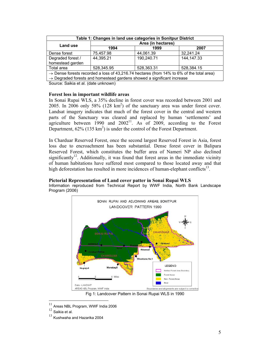| Table 1: Changes in land use categories in Sonitpur District                                                                                                                               |                    |            |              |  |  |  |
|--------------------------------------------------------------------------------------------------------------------------------------------------------------------------------------------|--------------------|------------|--------------|--|--|--|
| Land use                                                                                                                                                                                   | Area (in hectares) |            |              |  |  |  |
|                                                                                                                                                                                            | 1994               | 1999       | 2007         |  |  |  |
| Dense forest                                                                                                                                                                               | 75,457.98          | 44,061.39  | 32,241.24    |  |  |  |
| Degraded forest /<br>homestead garden                                                                                                                                                      | 44,395.21          | 190,240.71 | 144, 147. 33 |  |  |  |
| Total area                                                                                                                                                                                 | 528,345.95         | 528,363.31 | 528,384.15   |  |  |  |
| $\rightarrow$ Dense forests recorded a loss of 43,216.74 hectares (from 14% to 6% of the total area)<br>$\rightarrow$ Degraded forests and homestead gardens showed a significant increase |                    |            |              |  |  |  |

Source: Saikia et al. (date unknown)

## **Forest loss in important wildlife areas**

In Sonai Rupai WLS, a 35% decline in forest cover was recorded between 2001 and 2005. In 2006 only 58% (128  $km^2$ ) of the sanctuary area was under forest cover. Landsat imagery indicates that much of the forest cover in the central and western parts of the Sanctuary was cleared and replaced by human 'settlements' and agriculture between 1990 and  $2002^{11}$ . As of 2009, according to the Forest Department,  $62\%$  (135 km<sup>2</sup>) is under the control of the Forest Department.

In Charduar Reserved Forest, once the second largest Reserved Forest in Asia, forest loss due to encroachment has been substantial. Dense forest cover in Balipara Reserved Forest, which constitutes the buffer area of Nameri NP also declined significantly<sup>12</sup>. Additionally, it was found that forest areas in the immediate vicinity of human habitations have suffered most compared to those located away and that high deforestation has resulted in more incidences of human-elephant conflicts<sup>13</sup>.

## **Pictorial Representation of Land cover patter in Sonai Rupai WLS**

Information reproduced from Technical Report by WWF India, North Bank Landscape Program (2006)



Fig 1: Landcover Pattern in Sonai Rupai WLS in 1990

 $11$  $11$  Areas NBL Program, WWF India 2006<br> $12$  Saikia et al.

 $13$  Kushwaha and Hazarika 2004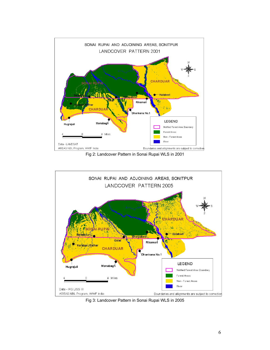

Fig 2: Landcover Pattern in Sonai Rupai WLS in 2001



Fig 3: Landcover Pattern in Sonai Rupai WLS in 2005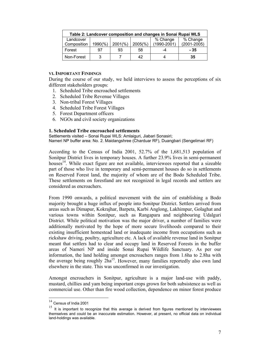| Table 2: Landcover composition and changes in Sonai Rupai WLS |         |            |            |             |                 |  |  |
|---------------------------------------------------------------|---------|------------|------------|-------------|-----------------|--|--|
| Landcover                                                     |         |            |            | % Change    | % Change        |  |  |
| Composition                                                   | 1990(%) | $2001(\%)$ | $2005(\%)$ | (1990-2001) | $(2001 - 2005)$ |  |  |
| Forest                                                        | 97      | 93         | 58         | -4          | - 35            |  |  |
| Non-Forest                                                    | વ       |            | 42         |             | 35              |  |  |

#### **VI. IMPORTANT FINDINGS**

During the course of our study, we held interviews to assess the perceptions of six different stakeholders groups:

- 1. Scheduled Tribe encroached settlements
- 2. Scheduled Tribe Revenue Villages
- 3. Non-tribal Forest Villages
- 4. Scheduled Tribe Forest Villages
- 5. Forest Department officers
- 6. NGOs and civil society organizations

#### **1. Scheduled Tribe encroached settlements**

Settlements visited – Sonai Rupai WLS: Amlaiguri, Jiabari Sonasiri; Nameri NP buffer area: No. 2. Maidangshree (Charduar RF), Duangbari (Sengelimari RF)

According to the Census of India 2001, 52.7% of the 1,681,513 population of Sonitpur District lives in temporary houses. A further 23.9% lives in semi-permanent houses<sup>14</sup>. While exact figure are not available, interviewees reported that a sizeable part of those who live in temporary and semi-permanent houses do so in settlements on Reserved Forest land, the majority of whom are of the Bodo Scheduled Tribe. These settlements on forestland are not recognized in legal records and settlers are considered as encroachers.

From 1990 onwards, a political movement with the aim of establishing a Bodo majority brought a huge influx of people into Sonitpur District. Settlers arrived from areas such as Dimapur, Kokrajhar, Barpeta, Karbi Anglong, Lakhimpur, Golaghat and various towns within Sonitpur, such as Rangapara and neighbouring Udalguri District. While political motivation was the major driver, a number of families were additionally motivated by the hope of more secure livelihoods compared to their existing insufficient homestead land or inadequate income from occupations such as rickshaw driving, poultry, agriculture etc. A lack of available revenue land in Sonitpur meant that settlers had to clear and occupy land in Reserved Forests in the buffer areas of Nameri NP and inside Sonai Rupai Wildlife Sanctuary. As per our information, the land holding amongst encroachers ranges from 1.6ha to 2.8ha with the average being roughly  $2ha^{15}$ . However, many families reportedly also own land elsewhere in the state. This was unconfirmed in our investigation.

Amongst encroachers in Sonitpur, agriculture is a major land-use with paddy, mustard, chillies and yam being important crops grown for both subsistence as well as commercial use. Other than fire wood collection, dependence on minor forest produce

l

<sup>14</sup> Census of India 2001

 $15$  It is important to recognize that this average is derived from figures mentioned by interviewees themselves and could be an inaccurate estimation. However, at present, no official data on individual land-holdings was available.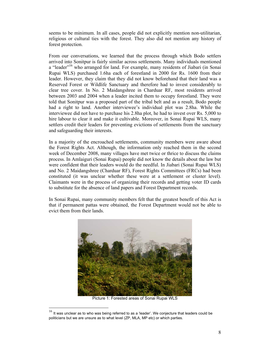seems to be minimum. In all cases, people did not explicitly mention non-utilitarian, religious or cultural ties with the forest. They also did not mention any history of forest protection.

From our conversations, we learned that the process through which Bodo settlers arrived into Sonitpur is fairly similar across settlements. Many individuals mentioned a "leader"<sup>16</sup> who arranged for land. For example, many residents of Jiabari (in Sonai Rupai WLS) purchased 1.6ha each of forestland in 2000 for Rs. 1600 from their leader. However, they claim that they did not know beforehand that their land was a Reserved Forest or Wildlife Sanctuary and therefore had to invest considerably to clear tree cover. In No. 2 Maidangshree in Charduar RF, most residents arrived between 2003 and 2004 when a leader incited them to occupy forestland. They were told that Sonitpur was a proposed part of the tribal belt and as a result, Bodo people had a right to land. Another interviewee's individual plot was 2.8ha. While the interviewee did not have to purchase his 2.8ha plot, he had to invest over Rs. 5,000 to hire labour to clear it and make it cultivable. Moreover, in Sonai Rupai WLS, many settlers credit their leaders for preventing evictions of settlements from the sanctuary and safeguarding their interests.

In a majority of the encroached settlements, community members were aware about the Forest Rights Act. Although, the information only reached them in the second week of December 2008, many villages have met twice or thrice to discuss the claims process. In Amlaiguri (Sonai Rupai) people did not know the details about the law but were confident that their leaders would do the needful. In Jiabari (Sonai Rupai WLS) and No. 2 Maidangshree (Charduar RF), Forest Rights Committees (FRCs) had been constituted (it was unclear whether these were at a settlement or cluster level). Claimants were in the process of organizing their records and getting voter ID cards to substitute for the absence of land papers and Forest Department records.

In Sonai Rupai, many community members felt that the greatest benefit of this Act is that if permanent pattas were obtained, the Forest Department would not be able to evict them from their lands.



Picture 1: Forested areas of Sonai Rupai WLS

 $\overline{a}$ 

 $16$  It was unclear as to who was being referred to as a 'leader'. We conjecture that leaders could be politicians but we are unsure as to what level (ZP, MLA, MP etc) or which parties.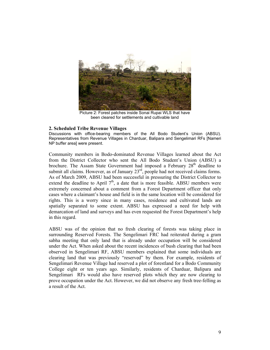

Picture 2: Forest patches inside Sonai Rupai WLS that have been cleared for settlements and cultivable land

#### **2. Scheduled Tribe Revenue Villages**

Discussions with office-bearing members of the All Bodo Student's Union (ABSU). Representatives from Revenue Villages in Charduar, Balipara and Sengelimari RFs [Nameri NP buffer area] were present.

Community members in Bodo-dominated Revenue Villages learned about the Act from the District Collector who sent the All Bodo Student's Union (ABSU) a brochure. The Assam State Government had imposed a February 28<sup>th</sup> deadline to submit all claims. However, as of January 23<sup>rd</sup>, people had not received claims forms. As of March 2009, ABSU had been successful in pressuring the District Collector to extend the deadline to April  $7<sup>th</sup>$ , a date that is more feasible. ABSU members were extremely concerned about a comment from a Forest Department officer that only cases where a claimant's house and field is in the same location will be considered for rights. This is a worry since in many cases, residence and cultivated lands are spatially separated to some extent. ABSU has expressed a need for help with demarcation of land and surveys and has even requested the Forest Department's help in this regard.

ABSU was of the opinion that no fresh clearing of forests was taking place in surrounding Reserved Forests. The Sengelimari FRC had reiterated during a gram sabha meeting that only land that is already under occupation will be considered under the Act. When asked about the recent incidences of bush clearing that had been observed in Sengelimari RF, ABSU members explained that some individuals are clearing land that was previously "reserved" by them. For example, residents of Sengelimari Revenue Village had reserved a plot of forestland for a Bodo Community College eight or ten years ago. Similarly, residents of Charduar, Balipara and Sengelimari RFs would also have reserved plots which they are now clearing to prove occupation under the Act. However, we did not observe any fresh tree-felling as a result of the Act.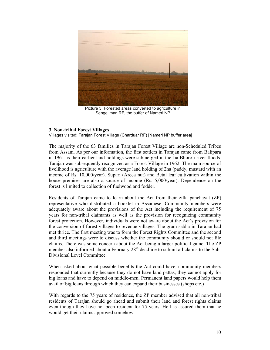

Picture 3: Forested areas converted to agriculture in Sengelimari RF, the buffer of Nameri NP

## **3. Non-tribal Forest Villages**

Villages visited: Tarajan Forest Village (Charduar RF) [Nameri NP buffer area]

The majority of the 63 families in Tarajan Forest Village are non-Scheduled Tribes from Assam. As per our information, the first settlers in Tarajan came from Balipara in 1961 as their earlier land-holdings were submerged in the Jia Bhoroli river floods. Tarajan was subsequently recognized as a Forest Village in 1962. The main source of livelihood is agriculture with the average land holding of 2ha (paddy, mustard with an income of Rs. 10,000/year). Supari (Areca nut) and Betal leaf cultivation within the house premises are also a source of income (Rs. 5,000/year). Dependence on the forest is limited to collection of fuelwood and fodder.

Residents of Tarajan came to learn about the Act from their zilla panchayat (ZP) representative who distributed a booklet in Assamese. Community members were adequately aware about the provisions of the Act including the requirement of 75 years for non-tribal claimants as well as the provision for recognizing community forest protection. However, individuals were not aware about the Act's provision for the conversion of forest villages to revenue villages. The gram sabha in Tarajan had met thrice. The first meeting was to form the Forest Rights Committee and the second and third meetings were to discuss whether the community should or should not file claims. There was some concern about the Act being a larger political game. The ZP member also informed about a February  $28<sup>th</sup>$  deadline to submit all claims to the Sub-Divisional Level Committee.

When asked about what possible benefits the Act could have, community members responded that currently because they do not have land pattas, they cannot apply for big loans and have to depend on middle-men. Permanent land papers would help them avail of big loans through which they can expand their businesses (shops etc.)

With regards to the 75 years of residence, the ZP member advised that all non-tribal residents of Tarajan should go ahead and submit their land and forest rights claims even though they have not been resident for 75 years. He has assured them that he would get their claims approved somehow.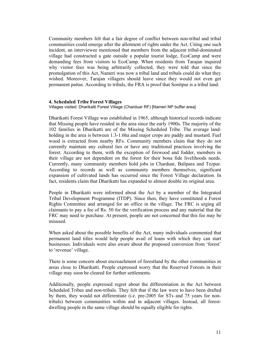Community members felt that a fair degree of conflict between non-tribal and tribal communities could emerge after the allotment of rights under the Act. Citing one such incident, an interviewee mentioned that members from the adjacent tribal-dominated village had constructed a gate outside a popular tourist lodge, EcoCamp and were demanding fees from visitors to EcoCamp. When residents from Tarajan inquired why visitor fees was being arbitrarily collected, they were told that since the promulgation of this Act, Nameri was now a tribal land and tribals could do what they wished. Moreover, Tarajan villagers should leave since they would not even get permanent pattas. According to tribals, the FRA is proof that Sonitpur is a tribal land.

#### **4. Scheduled Tribe Forest Villages**

Villages visited: Dharikatti Forest Village (Charduar RF) [Nameri NP buffer area]

Dharikatti Forest Village was established in 1965, although historical records indicate that Missing people have resided in the area since the early 1900s. The majority of the 102 families in Dharikatti are of the Missing Scheduled Tribe. The average landholding in the area is between 1.3-1.6ha and major crops are paddy and mustard. Fuel wood is extracted from nearby RFs. Community members claim that they do not currently maintain any cultural ties or have any traditional practices involving the forest. According to them, with the exception of firewood and fodder, members in their village are not dependent on the forest for their bona fide livelihoods needs. Currently, many community members hold jobs in Charduar, Balipara and Tezpur. According to records as well as community members themselves, significant expansion of cultivated lands has occurred since the Forest Village declaration. In fact, residents claim that Dharikatti has expanded to almost double its original area.

People in Dharikatti were informed about the Act by a member of the Integrated Tribal Development Programme (ITDP). Since then, they have constituted a Forest Rights Committee and arranged for an office in the village. The FRC is urging all claimants to pay a fee of Rs. 50 for the verification process and any material that the FRC may need to purchase. At present, people are not concerned that this fee may be misused.

When asked about the possible benefits of the Act, many individuals commented that permanent land titles would help people avail of loans with which they can start businesses. Individuals were also aware about the proposed conversion from 'forest' to 'revenue' village.

There is some concern about encroachment of forestland by the other communities in areas close to Dharikatti. People expressed worry that the Reserved Forests in their village may soon be cleared for further settlements.

Additionally, people expressed regret about the differentiation in the Act between Scheduled Tribes and non-tribals. They felt that if the law were to have been drafted by them, they would not differentiate (i.e. pre-2005 for STs and 75 years for nontribals) between communities within and in adjacent villages. Instead, all forestdwelling people in the same village should be equally eligible for rights.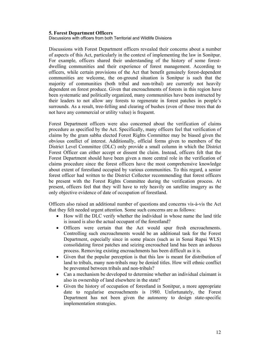#### **5. Forest Department Officers**

Discussions with officers from both Territorial and Wildlife Divisions

Discussions with Forest Department officers revealed their concerns about a number of aspects of this Act, particularly in the context of implementing the law in Sonitpur. For example, officers shared their understanding of the history of some forestdwelling communities and their experience of forest management. According to officers, while certain provisions of the Act that benefit genuinely forest-dependent communities are welcome, the on-ground situation is Sonitpur is such that the majority of communities (both tribal and non-tribal) are currently not heavily dependent on forest produce. Given that encroachments of forests in this region have been systematic and politically organized, many communities have been instructed by their leaders to not allow any forests to regenerate in forest patches in people's surrounds. As a result, tree-felling and clearing of bushes (even of those trees that do not have any commercial or utility value) is frequent.

Forest Department officers were also concerned about the verification of claims procedure as specified by the Act. Specifically, many officers feel that verification of claims by the gram sabha elected Forest Rights Committee may be biased given the obvious conflict of interest. Additionally, official forms given to members of the District Level Committee (DLC) only provide a small column in which the District Forest Officer can either accept or dissent the claim. Instead, officers felt that the Forest Department should have been given a more central role in the verification of claims procedure since the forest officers have the most comprehensive knowledge about extent of forestland occupied by various communities. To this regard, a senior forest officer had written to the District Collector recommending that forest officers be present with the Forest Rights Committee during the verification process. At present, officers feel that they will have to rely heavily on satellite imagery as the only objective evidence of date of occupation of forestland.

Officers also raised an additional number of questions and concerns vis-à-vis the Act that they felt needed urgent attention. Some such concerns are as follows:

- How will the DLC verify whether the individual in whose name the land title is issued is also the actual occupant of the forestland?
- " Officers were certain that the Act would spur fresh encroachments. Controlling such encroachments would be an additional task for the Forest Department, especially since in some places (such as in Sonai Rupai WLS) consolidating forest patches and seizing encroached land has been an arduous process. Removing existing encroachments has been difficult as it is.
- Given that the popular perception is that this law is meant for distribution of land to tribals, many non-tribals may be denied titles. How will ethnic conflict be prevented between tribals and non-tribals?
- Can a mechanism be developed to determine whether an individual claimant is also in ownership of land elsewhere in the state?
- " Given the history of occupation of forestland in Sonitpur, a more appropriate date to regularise encroachments is 1980. Unfortunately, the Forest Department has not been given the autonomy to design state-specific implementation strategies.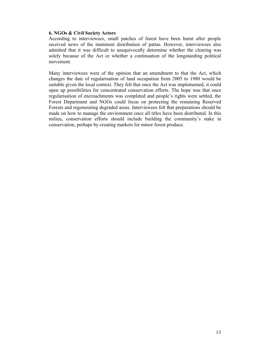## **6. NGOs & Civil Society Actors**

According to interviewees, small patches of forest have been burnt after people received news of the imminent distribution of pattas. However, interviewees also admitted that it was difficult to unequivocally determine whether the clearing was solely because of the Act or whether a continuation of the longstanding political movement.

Many interviewees were of the opinion that an amendment to that the Act, which changes the date of regularisation of land occupation from 2005 to 1980 would be suitable given the local context. They felt that once the Act was implemented, it could open up possibilities for concentrated conservation efforts. The hope was that once regularisation of encroachments was completed and people's rights were settled, the Forest Department and NGOs could focus on protecting the remaining Reserved Forests and regenerating degraded areas. Interviewees felt that preparations should be made on how to manage the environment once all titles have been distributed. In this milieu, conservation efforts should include building the community's stake in conservation, perhaps by creating markets for minor forest produce.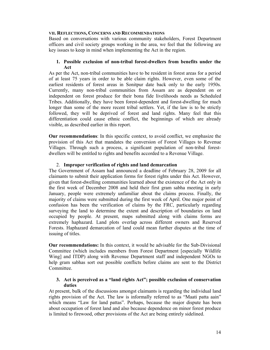#### **VII. REFLECTIONS, CONCERNS AND RECOMMENDATIONS**

Based on conversations with various community stakeholders, Forest Department officers and civil society groups working in the area, we feel that the following are key issues to keep in mind when implementing the Act in the region.

## **1. Possible exclusion of non-tribal forest-dwellers from benefits under the Act**

As per the Act, non-tribal communities have to be resident in forest areas for a period of at least 75 years in order to be able claim rights. However, even some of the earliest residents of forest areas in Sonitpur date back only to the early 1950s. Currently, many non-tribal communities from Assam are as dependent on or independent on forest produce for their bona fide livelihoods needs as Scheduled Tribes. Additionally, they have been forest-dependent and forest-dwelling for much longer than some of the more recent tribal settlers. Yet, if the law is to be strictly followed, they will be deprived of forest and land rights. Many feel that this differentiation could cause ethnic conflict, the beginnings of which are already visible, as described earlier in this report.

**Our recommendations**: In this specific context, to avoid conflict, we emphasize the provision of this Act that mandates the conversion of Forest Villages to Revenue Villages. Through such a process, a significant population of non-tribal forestdwellers will be entitled to rights and benefits accorded to a Revenue Village.

## 2. **Improper verification of rights and land demarcation**

The Government of Assam had announced a deadline of February 28, 2009 for all claimants to submit their application forms for forest rights under this Act. However, given that forest-dwelling communities learned about the existence of the Act only in the first week of December 2008 and held their first gram sabha meeting in early January, people were extremely unfamiliar about the claims process. Finally, the majority of claims were submitted during the first week of April. One major point of confusion has been the verification of claims by the FRC, particularly regarding surveying the land to determine the extent and description of boundaries on land occupied by people. At present, maps submitted along with claims forms are extremely haphazard. Land plots overlap across different owners and Reserved Forests. Haphazard demarcation of land could mean further disputes at the time of issuing of titles.

**Our recommendations:** In this context, it would be advisable for the Sub-Divisional Committee (which includes members from Forest Department [especially Wildlife Wing] and ITDP) along with Revenue Department staff and independent NGOs to help gram sabhas sort out possible conflicts before claims are sent to the District Committee.

## **3. Act is perceived as a "land rights Act"; possible exclusion of conservation duties**

At present, bulk of the discussions amongst claimants is regarding the individual land rights provision of the Act. The law is informally referred to as "Maati patta aain" which means "Law for land pattas". Perhaps, because the major dispute has been about occupation of forest land and also because dependence on minor forest produce is limited to firewood, other provisions of the Act are being entirely sidelined.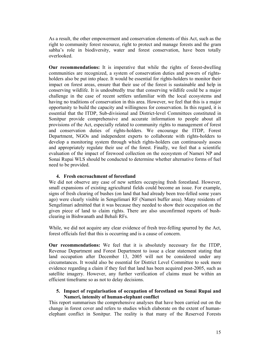As a result, the other empowerment and conservation elements of this Act, such as the right to community forest resource, right to protect and manage forests and the gram sabha's role in biodiversity, water and forest conservation, have been totally overlooked.

**Our recommendations:** It is imperative that while the rights of forest-dwelling communities are recognized, a system of conservation duties and powers of rightsholders also be put into place. It would be essential for rights-holders to monitor their impact on forest areas, ensure that their use of the forest is sustainable and help in conserving wildlife. It is undoubtedly true that conserving wildlife could be a major challenge in the case of recent settlers unfamiliar with the local ecosystems and having no traditions of conservation in this area. However, we feel that this is a major opportunity to build the capacity and willingness for conservation. In this regard, it is essential that the ITDP, Sub-divisional and District-level Committees constituted in Sonitpur provide comprehensive and accurate information to people about all provisions of the Act, especially related to community rights to management of forest and conservation duties of rights-holders. We encourage the ITDP, Forest Department, NGOs and independent experts to collaborate with rights-holders to develop a monitoring system through which rights-holders can continuously assess and appropriately regulate their use of the forest. Finally, we feel that a scientific evaluation of the impact of firewood collection on the ecosystem of Nameri NP and Sonai Rupai WLS should be conducted to determine whether alternative forms of fuel need to be provided.

## **4. Fresh encroachment of forestland**

We did not observe any case of new settlers occupying fresh forestland. However, small expansions of existing agricultural fields could become an issue. For example, signs of fresh clearing of bushes (on land that had already been tree-felled some years ago) were clearly visible in Sengelimari RF (Nameri buffer area). Many residents of Sengelimari admitted that it was because they needed to show their occupation on the given piece of land to claim rights. There are also unconfirmed reports of bushclearing in Bishwanath and Behali RFs.

While, we did not acquire any clear evidence of fresh tree-felling spurred by the Act, forest officials feel that this is occurring and is a cause of concern.

**Our recommendations:** We feel that it is absolutely necessary for the ITDP, Revenue Department and Forest Department to issue a clear statement stating that land occupation after December 13, 2005 will not be considered under any circumstances. It would also be essential for District Level Committee to seek more evidence regarding a claim if they feel that land has been acquired post-2005, such as satellite imagery. However, any further verification of claims must be within an efficient timeframe so as not to delay decisions.

## **5. Impact of regularisation of occupation of forestland on Sonai Rupai and Nameri, intensity of human-elephant conflict**

This report summarises the comprehensive analyses that have been carried out on the change in forest cover and refers to studies which elaborate on the extent of humanelephant conflict in Sonitpur. The reality is that many of the Reserved Forests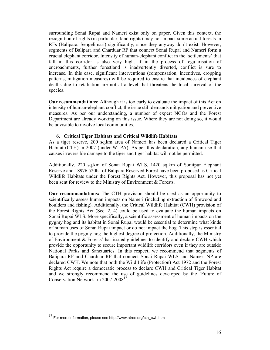surrounding Sonai Rupai and Nameri exist only on paper. Given this context, the recognition of rights (in particular, land rights) may not impact some actual forests in RFs (Balipara, Sengelimari) significantly, since they anyway don't exist. However, segments of Balipara and Charduar RF that connect Sonai Rupai and Nameri form a crucial elephant corridor. Intensity of human-elephant conflict in the 'settlements' that fall in this corridor is also very high. If in the process of regularisation of encroachments, further forestland is inadvertently diverted, conflict is sure to increase. In this case, significant interventions (compensation, incentives, cropping patterns, mitigation measures) will be required to ensure that incidences of elephant deaths due to retaliation are not at a level that threatens the local survival of the species.

**Our recommendations:** Although it is too early to evaluate the impact of this Act on intensity of human-elephant conflict, the issue still demands mitigation and preventive measures. As per our understanding, a number of expert NGOs and the Forest Department are already working on this issue. Where they are not doing so, it would be advisable to involve local communities.

#### **6. Critical Tiger Habitats and Critical Wildlife Habitats**

As a tiger reserve, 200 sq.km area of Nameri has been declared a Critical Tiger Habitat (CTH) in 2007 (under WLPA). As per this declaration, any human use that causes irreversible damage to the tiger and tiger habitat will not be permitted.

Additionally, 220 sq.km of Sonai Rupai WLS, 1420 sq.km of Sonitpur Elephant Reserve and 18976.520ha of Balipara Reserved Forest have been proposed as Critical Wildlife Habitats under the Forest Rights Act. However, this proposal has not yet been sent for review to the Ministry of Environment & Forests.

**Our recommendations:** The CTH provision should be used as an opportunity to scientifically assess human impacts on Nameri (including extraction of firewood and boulders and fishing). Additionally, the Critical Wildlife Habitat (CWH) provision of the Forest Rights Act (Sec. 2, 4) could be used to evaluate the human impacts on Sonai Rupai WLS. More specifically, a scientific assessment of human impacts on the pygmy hog and its habitat in Sonai Rupai would be essential to determine what kinds of human uses of Sonai Rupai impact or do not impact the hog. This step is essential to provide the pygmy hog the highest degree of protection. Additionally, the Ministry of Environment  $&$  Forests' has issued guidelines to identify and declare CWH which provide the opportunity to secure important wildlife corridors even if they are outside National Parks and Sanctuaries. In this respect, we recommend that segments of Balipara RF and Charduar RF that connect Sonai Rupai WLS and Nameri NP are declared CWH. We note that both the Wild Life (Protection) Act 1972 and the Forest Rights Act require a democratic process to declare CWH and Critical Tiger Habitat and we strongly recommend the use of guidelines developed by the 'Future of Conservation Network' in 2007-2008<sup>17</sup>.

 $\overline{a}$ 

 $17$  For more information, please see http://www.atree.org/cth\_cwh.html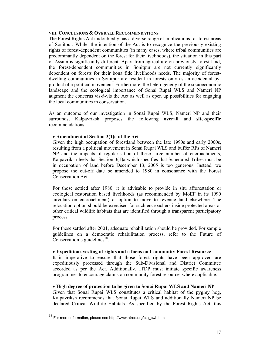#### **VIII. CONCLUSIONS & OVERALL RECOMMENDATIONS**

The Forest Rights Act undoubtedly has a diverse range of implications for forest areas of Sonitpur. While, the intention of the Act is to recognize the previously existing rights of forest-dependent communities (in many cases, where tribal communities are predominantly dependent on the forest for their livelihoods), the situation in this part of Assam is significantly different. Apart from agriculture on previously forest land, the forest-dependent communities in Sonitpur are not currently significantly dependent on forests for their bona fide livelihoods needs. The majority of forestdwelling communities in Sonitpur are resident in forests only as an accidental byproduct of a political movement. Furthermore, the heterogeneity of the socioeconomic landscape and the ecological importance of Sonai Rupai WLS and Nameri NP augment the concerns vis-à-vis the Act as well as open up possibilities for engaging the local communities in conservation.

As an outcome of our investigation in Sonai Rupai WLS, Nameri NP and their surrounds, Kalpavriksh proposes the following **overall** and **site-specific** recommendations:

## • Amendment of Section 3(1)a of the Act

Given the high occupation of forestland between the late 1990s and early 2000s, resulting from a political movement in Sonai Rupai WLS and buffer RFs of Nameri NP and the impacts of regularisation of these large number of encroachments, Kalpavriksh feels that Section 3(1)a which specifies that Scheduled Tribes must be in occupation of land before December 13, 2005 is too generous. Instead, we propose the cut-off date be amended to 1980 in consonance with the Forest Conservation Act.

For those settled after 1980, it is advisable to provide in situ afforestation or ecological restoration based livelihoods (as recommended by MoEF in its 1990 circulars on encroachment) or option to move to revenue land elsewhere. The relocation option should be exercised for such encroachers inside protected areas or other critical wildlife habitats that are identified through a transparent participatory process.

For those settled after 2001, adequate rehabilitation should be provided. For sample guidelines on a democratic rehabilitation process, refer to the Future of Conservation's guidelines<sup>18</sup>.

## " **Expeditious vesting of rights and a focus on Community Forest Resource**

It is imperative to ensure that those forest rights have been approved are expeditiously processed through the Sub-Divisional and District Committee accorded as per the Act. Additionally, ITDP must initiate specific awareness programmes to encourage claims on community forest resource, where applicable.

## " **High degree of protection to be given to Sonai Rupai WLS and Nameri NP**

Given that Sonai Rupai WLS constitutes a critical habitat of the pygmy hog, Kalpavriksh recommends that Sonai Rupai WLS and additionally Nameri NP be declared Critical Wildlife Habitats. As specified by the Forest Rights Act, this

 $\overline{a}$ 

 $18$  For more information, please see http://www.atree.org/cth\_cwh.html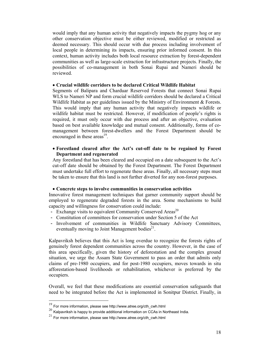would imply that any human activity that negatively impacts the pygmy hog or any other conservation objective must be either reviewed, modified or restricted as deemed necessary. This should occur with due process including involvement of local people in determining its impacts, ensuring prior informed consent. In this context, human activity includes both local resource extraction by forest-dependent communities as well as large-scale extraction for infrastructure projects. Finally, the possibilities of co-management in both Sonai Rupai and Nameri should be reviewed.

#### " **Crucial wildlife corridors to be declared Critical Wildlife Habitat**

Segments of Balipara and Charduar Reserved Forests that connect Sonai Rupai WLS to Nameri NP and form crucial wildlife corridors should be declared a Critical Wildlife Habitat as per guidelines issued by the Ministry of Environment & Forests. This would imply that any human activity that negatively impacts wildlife or wildlife habitat must be restricted. However, if modification of people's rights is required, it must only occur with due process and after an objective, evaluation based on best available knowledge and mutual consent. Additionally, forms of comanagement between forest-dwellers and the Forest Department should be encouraged in these areas $^{19}$ .

## " **Forestland cleared after the Act's cut-off date to be regained by Forest Department and regenerated**

Any forestland that has been cleared and occupied on a date subsequent to the Act's cut-off date should be obtained by the Forest Department. The Forest Department must undertake full effort to regenerate these areas. Finally, all necessary steps must be taken to ensure that this land is not further diverted for any non-forest purposes.

#### " **Concrete steps to involve communities in conservation activities**

Innovative forest management techniques that garner community support should be employed to regenerate degraded forests in the area. Some mechanisms to build capacity and willingness for conservation could include:

- Exchange visits to equivalent Community Conserved Areas<sup>20</sup>
- Constitution of committees for conservation under Section 5 of the Act
- Involvement of communities in Wildlife Sanctuary Advisory Committees, eventually moving to Joint Management bodies $2<sup>1</sup>$ .

Kalpavriksh believes that this Act is long overdue to recognize the forests rights of genuinely forest dependent communities across the country. However, in the case of this area specifically, given the history of deforestation and the complex ground situation, we urge the Assam State Government to pass an order that admits only claims of pre-1980 occupiers, and for post-1980 occupiers, moves towards in situ afforestation-based livelihoods or rehabilitation, whichever is preferred by the occupiers.

Overall, we feel that these modifications are essential conservation safeguards that need to be integrated before the Act is implemented in Sonitpur District. Finally, in

l

 $19$  For more information, please see http://www.atree.org/cth\_cwh.html

 $^{20}$  Kalpavriksh is happy to provide additional information on CCAs in Northeast India.

 $^{21}$  For more information, please see http://www.atree.org/cth\_cwh.html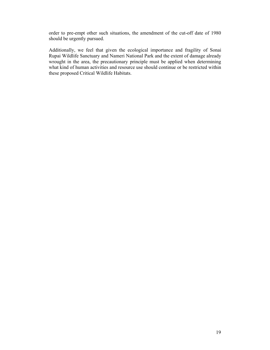order to pre-empt other such situations, the amendment of the cut-off date of 1980 should be urgently pursued.

Additionally, we feel that given the ecological importance and fragility of Sonai Rupai Wildlife Sanctuary and Nameri National Park and the extent of damage already wrought in the area, the precautionary principle must be applied when determining what kind of human activities and resource use should continue or be restricted within these proposed Critical Wildlife Habitats.